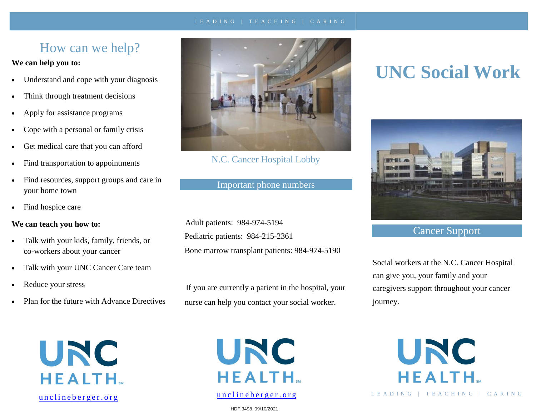#### L E A D I N G | T E A C H I N G | C A R I N G

# How can we help?

#### **We can help you to:**

- Understand and cope with your diagnosis
- Think through treatment decisions
- Apply for assistance programs
- Cope with a personal or family crisis
- Get medical care that you can afford
- Find transportation to appointments
- Find resources, support groups and care in your home town
- Find hospice care

#### **We can teach you how to:**

- Talk with your kids, family, friends, or co-workers about your cancer
- Talk with your UNC Cancer Care team
- Reduce your stress
- Plan for the future with Advance Directives





N.C. Cancer Hospital Lobby

Important phone numbers

Adult patients: 984-974-5194 Pediatric patients: 984-215-2361 Bone marrow transplant patients: 984-974-5190

If you are currently a patient in the hospital, your nurse can help you contact your social worker.



## [u](https://unclineberger.org/ccsp)nclineberger.org

HDF 3498 09/10/2021

# **UNC Social Work**



# Cancer Support

Social workers at the N.C. Cancer Hospital can give you, your family and your caregivers support throughout your cancer journey.

> UNC **HEALTH.**

L E A D I N G | T E A C H I N G | C A R I N G